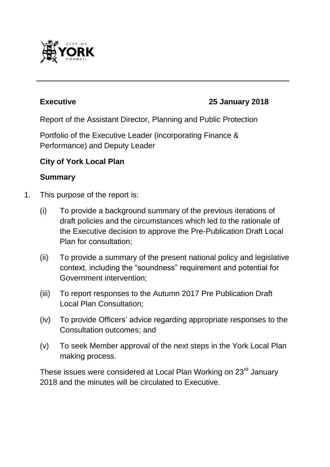

#### **Executive 25 January 2018**

Report of the Assistant Director, Planning and Public Protection

Portfolio of the Executive Leader (incorporating Finance & Performance) and Deputy Leader

#### **City of York Local Plan**

#### **Summary**

- 1. This purpose of the report is:
	- (i) To provide a background summary of the previous iterations of draft policies and the circumstances which led to the rationale of the Executive decision to approve the Pre-Publication Draft Local Plan for consultation;
	- (ii) To provide a summary of the present national policy and legislative context, including the "soundness" requirement and potential for Government intervention;
	- (iii) To report responses to the Autumn 2017 Pre Publication Draft Local Plan Consultation;
	- (iv) To provide Officers' advice regarding appropriate responses to the Consultation outcomes; and
	- (v) To seek Member approval of the next steps in the York Local Plan making process.

These issues were considered at Local Plan Working on 23<sup>rd</sup> January 2018 and the minutes will be circulated to Executive.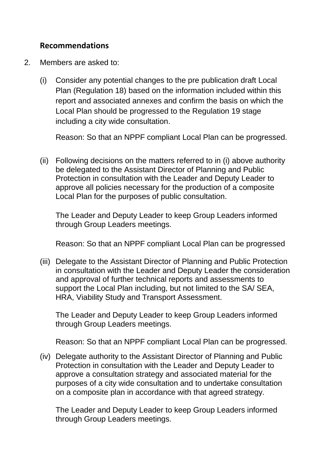#### **Recommendations**

- 2. Members are asked to:
	- (i) Consider any potential changes to the pre publication draft Local Plan (Regulation 18) based on the information included within this report and associated annexes and confirm the basis on which the Local Plan should be progressed to the Regulation 19 stage including a city wide consultation.

Reason: So that an NPPF compliant Local Plan can be progressed.

(ii) Following decisions on the matters referred to in (i) above authority be delegated to the Assistant Director of Planning and Public Protection in consultation with the Leader and Deputy Leader to approve all policies necessary for the production of a composite Local Plan for the purposes of public consultation.

The Leader and Deputy Leader to keep Group Leaders informed through Group Leaders meetings.

Reason: So that an NPPF compliant Local Plan can be progressed

(iii) Delegate to the Assistant Director of Planning and Public Protection in consultation with the Leader and Deputy Leader the consideration and approval of further technical reports and assessments to support the Local Plan including, but not limited to the SA/ SEA, HRA, Viability Study and Transport Assessment.

The Leader and Deputy Leader to keep Group Leaders informed through Group Leaders meetings.

Reason: So that an NPPF compliant Local Plan can be progressed.

(iv) Delegate authority to the Assistant Director of Planning and Public Protection in consultation with the Leader and Deputy Leader to approve a consultation strategy and associated material for the purposes of a city wide consultation and to undertake consultation on a composite plan in accordance with that agreed strategy.

The Leader and Deputy Leader to keep Group Leaders informed through Group Leaders meetings.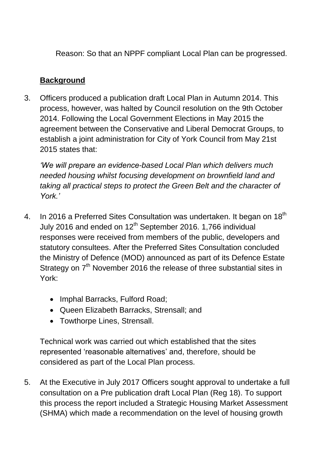Reason: So that an NPPF compliant Local Plan can be progressed.

## **Background**

3. Officers produced a publication draft Local Plan in Autumn 2014. This process, however, was halted by Council resolution on the 9th October 2014. Following the Local Government Elections in May 2015 the agreement between the Conservative and Liberal Democrat Groups, to establish a joint administration for City of York Council from May 21st 2015 states that:

*'We will prepare an evidence-based Local Plan which delivers much needed housing whilst focusing development on brownfield land and taking all practical steps to protect the Green Belt and the character of York.'*

- 4. In 2016 a Preferred Sites Consultation was undertaken. It began on  $18<sup>th</sup>$ July 2016 and ended on 12<sup>th</sup> September 2016. 1,766 individual responses were received from members of the public, developers and statutory consultees. After the Preferred Sites Consultation concluded the Ministry of Defence (MOD) announced as part of its Defence Estate Strategy on  $7<sup>th</sup>$  November 2016 the release of three substantial sites in York:
	- Imphal Barracks, Fulford Road;
	- Queen Elizabeth Barr*a*cks, Strensall; and
	- Towthorpe Lines, Strensall.

Technical work was carried out which established that the sites represented 'reasonable alternatives' and, therefore, should be considered as part of the Local Plan process.

5. At the Executive in July 2017 Officers sought approval to undertake a full consultation on a Pre publication draft Local Plan (Reg 18). To support this process the report included a Strategic Housing Market Assessment (SHMA) which made a recommendation on the level of housing growth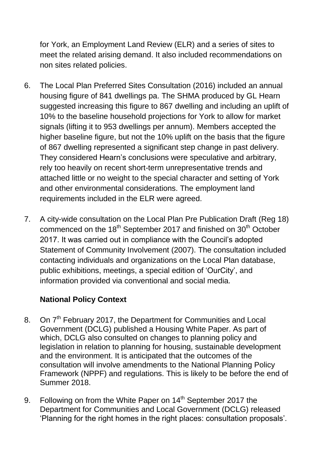for York, an Employment Land Review (ELR) and a series of sites to meet the related arising demand. It also included recommendations on non sites related policies.

- 6. The Local Plan Preferred Sites Consultation (2016) included an annual housing figure of 841 dwellings pa. The SHMA produced by GL Hearn suggested increasing this figure to 867 dwelling and including an uplift of 10% to the baseline household projections for York to allow for market signals (lifting it to 953 dwellings per annum). Members accepted the higher baseline figure, but not the 10% uplift on the basis that the figure of 867 dwelling represented a significant step change in past delivery. They considered Hearn's conclusions were speculative and arbitrary, rely too heavily on recent short-term unrepresentative trends and attached little or no weight to the special character and setting of York and other environmental considerations. The employment land requirements included in the ELR were agreed.
- 7. A city-wide consultation on the Local Plan Pre Publication Draft (Reg 18) commenced on the 18<sup>th</sup> September 2017 and finished on 30<sup>th</sup> October 2017. It was carried out in compliance with the Council's adopted Statement of Community Involvement (2007). The consultation included contacting individuals and organizations on the Local Plan database, public exhibitions, meetings, a special edition of 'OurCity', and information provided via conventional and social media.

# **National Policy Context**

- 8. On 7<sup>th</sup> February 2017, the Department for Communities and Local Government (DCLG) published a Housing White Paper. As part of which, DCLG also consulted on changes to planning policy and legislation in relation to planning for housing, sustainable development and the environment. It is anticipated that the outcomes of the consultation will involve amendments to the National Planning Policy Framework (NPPF) and regulations. This is likely to be before the end of Summer 2018.
- 9. Following on from the White Paper on  $14<sup>th</sup>$  September 2017 the Department for Communities and Local Government (DCLG) released 'Planning for the right homes in the right places: consultation proposals'.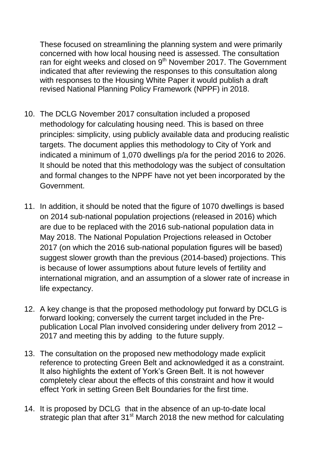These focused on streamlining the planning system and were primarily concerned with how local housing need is assessed. The consultation ran for eight weeks and closed on 9<sup>th</sup> November 2017. The Government indicated that after reviewing the responses to this consultation along with responses to the Housing White Paper it would publish a draft revised National Planning Policy Framework (NPPF) in 2018.

- 10. The DCLG November 2017 consultation included a proposed methodology for calculating housing need. This is based on three principles: simplicity, using publicly available data and producing realistic targets. The document applies this methodology to City of York and indicated a minimum of 1,070 dwellings p/a for the period 2016 to 2026. It should be noted that this methodology was the subject of consultation and formal changes to the NPPF have not yet been incorporated by the Government.
- 11. In addition, it should be noted that the figure of 1070 dwellings is based on 2014 sub-national population projections (released in 2016) which are due to be replaced with the 2016 sub-national population data in May 2018. The National Population Projections released in October 2017 (on which the 2016 sub-national population figures will be based) suggest slower growth than the previous (2014-based) projections. This is because of lower assumptions about future levels of fertility and international migration, and an assumption of a slower rate of increase in life expectancy.
- 12. A key change is that the proposed methodology put forward by DCLG is forward looking; conversely the current target included in the Prepublication Local Plan involved considering under delivery from 2012 – 2017 and meeting this by adding to the future supply.
- 13. The consultation on the proposed new methodology made explicit reference to protecting Green Belt and acknowledged it as a constraint. It also highlights the extent of York's Green Belt. It is not however completely clear about the effects of this constraint and how it would effect York in setting Green Belt Boundaries for the first time.
- 14. It is proposed by DCLG that in the absence of an up-to-date local strategic plan that after 31<sup>st</sup> March 2018 the new method for calculating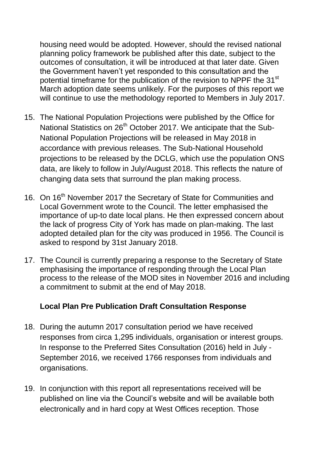housing need would be adopted. However, should the revised national planning policy framework be published after this date, subject to the outcomes of consultation, it will be introduced at that later date. Given the Government haven't yet responded to this consultation and the potential timeframe for the publication of the revision to NPPF the 31<sup>st</sup> March adoption date seems unlikely. For the purposes of this report we will continue to use the methodology reported to Members in July 2017.

- 15. The National Population Projections were published by the Office for National Statistics on 26<sup>th</sup> October 2017. We anticipate that the Sub-National Population Projections will be released in May 2018 in accordance with previous releases. The Sub-National Household projections to be released by the DCLG, which use the population ONS data, are likely to follow in July/August 2018. This reflects the nature of changing data sets that surround the plan making process.
- 16. On 16<sup>th</sup> November 2017 the Secretary of State for Communities and Local Government wrote to the Council. The letter emphasised the importance of up-to date local plans. He then expressed concern about the lack of progress City of York has made on plan-making. The last adopted detailed plan for the city was produced in 1956. The Council is asked to respond by 31st January 2018.
- 17. The Council is currently preparing a response to the Secretary of State emphasising the importance of responding through the Local Plan process to the release of the MOD sites in November 2016 and including a commitment to submit at the end of May 2018.

#### **Local Plan Pre Publication Draft Consultation Response**

- 18. During the autumn 2017 consultation period we have received responses from circa 1,295 individuals, organisation or interest groups. In response to the Preferred Sites Consultation (2016) held in July - September 2016, we received 1766 responses from individuals and organisations.
- 19. In conjunction with this report all representations received will be published on line via the Council's website and will be available both electronically and in hard copy at West Offices reception. Those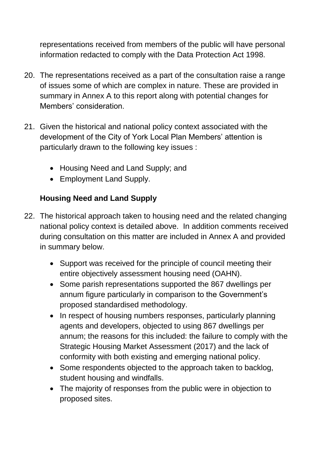representations received from members of the public will have personal information redacted to comply with the Data Protection Act 1998.

- 20. The representations received as a part of the consultation raise a range of issues some of which are complex in nature. These are provided in summary in Annex A to this report along with potential changes for Members' consideration.
- 21. Given the historical and national policy context associated with the development of the City of York Local Plan Members' attention is particularly drawn to the following key issues :
	- Housing Need and Land Supply; and
	- Employment Land Supply.

# **Housing Need and Land Supply**

- 22. The historical approach taken to housing need and the related changing national policy context is detailed above. In addition comments received during consultation on this matter are included in Annex A and provided in summary below.
	- Support was received for the principle of council meeting their entire objectively assessment housing need (OAHN).
	- Some parish representations supported the 867 dwellings per annum figure particularly in comparison to the Government's proposed standardised methodology.
	- In respect of housing numbers responses, particularly planning agents and developers, objected to using 867 dwellings per annum; the reasons for this included: the failure to comply with the Strategic Housing Market Assessment (2017) and the lack of conformity with both existing and emerging national policy.
	- Some respondents objected to the approach taken to backlog, student housing and windfalls.
	- The majority of responses from the public were in objection to proposed sites.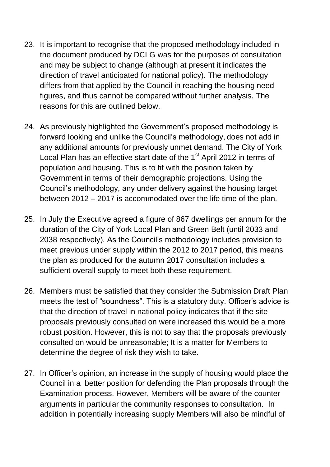- 23. It is important to recognise that the proposed methodology included in the document produced by DCLG was for the purposes of consultation and may be subject to change (although at present it indicates the direction of travel anticipated for national policy). The methodology differs from that applied by the Council in reaching the housing need figures, and thus cannot be compared without further analysis. The reasons for this are outlined below.
- 24. As previously highlighted the Government's proposed methodology is forward looking and unlike the Council's methodology, does not add in any additional amounts for previously unmet demand. The City of York Local Plan has an effective start date of the 1<sup>st</sup> April 2012 in terms of population and housing. This is to fit with the position taken by Government in terms of their demographic projections. Using the Council's methodology, any under delivery against the housing target between 2012 – 2017 is accommodated over the life time of the plan.
- 25. In July the Executive agreed a figure of 867 dwellings per annum for the duration of the City of York Local Plan and Green Belt (until 2033 and 2038 respectively). As the Council's methodology includes provision to meet previous under supply within the 2012 to 2017 period, this means the plan as produced for the autumn 2017 consultation includes a sufficient overall supply to meet both these requirement.
- 26. Members must be satisfied that they consider the Submission Draft Plan meets the test of "soundness". This is a statutory duty. Officer's advice is that the direction of travel in national policy indicates that if the site proposals previously consulted on were increased this would be a more robust position. However, this is not to say that the proposals previously consulted on would be unreasonable; It is a matter for Members to determine the degree of risk they wish to take.
- 27. In Officer's opinion, an increase in the supply of housing would place the Council in a better position for defending the Plan proposals through the Examination process. However, Members will be aware of the counter arguments in particular the community responses to consultation. In addition in potentially increasing supply Members will also be mindful of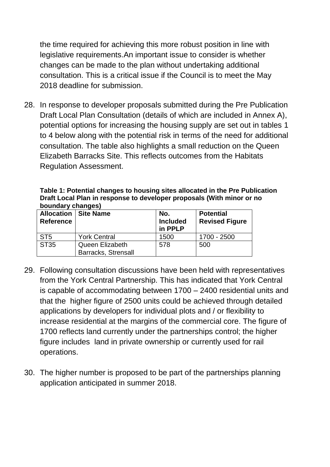the time required for achieving this more robust position in line with legislative requirements.An important issue to consider is whether changes can be made to the plan without undertaking additional consultation. This is a critical issue if the Council is to meet the May 2018 deadline for submission.

28. In response to developer proposals submitted during the Pre Publication Draft Local Plan Consultation (details of which are included in Annex A), potential options for increasing the housing supply are set out in tables 1 to 4 below along with the potential risk in terms of the need for additional consultation. The table also highlights a small reduction on the Queen Elizabeth Barracks Site. This reflects outcomes from the Habitats Regulation Assessment.

**Table 1: Potential changes to housing sites allocated in the Pre Publication Draft Local Plan in response to developer proposals (With minor or no boundary changes)**

| <b>Reference</b> | <b>Allocation   Site Name</b>                 | No.<br><b>Included</b><br>in PPLP | <b>Potential</b><br><b>Revised Figure</b> |  |  |  |
|------------------|-----------------------------------------------|-----------------------------------|-------------------------------------------|--|--|--|
| ST <sub>5</sub>  | <b>York Central</b>                           | 1500                              | 1700 - 2500                               |  |  |  |
| ST35             | Queen Elizabeth<br><b>Barracks, Strensall</b> | 578                               | 500                                       |  |  |  |

- 29. Following consultation discussions have been held with representatives from the York Central Partnership. This has indicated that York Central is capable of accommodating between 1700 – 2400 residential units and that the higher figure of 2500 units could be achieved through detailed applications by developers for individual plots and / or flexibility to increase residential at the margins of the commercial core. The figure of 1700 reflects land currently under the partnerships control; the higher figure includes land in private ownership or currently used for rail operations.
- 30. The higher number is proposed to be part of the partnerships planning application anticipated in summer 2018.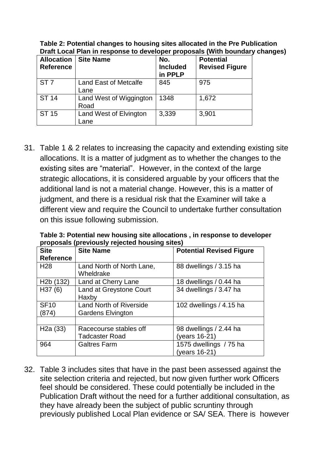| <b>Allocation</b><br><b>Reference</b> | <b>Site Name</b>                     | No.<br><b>Included</b><br>in PPLP | <b>Potential</b><br><b>Revised Figure</b> |
|---------------------------------------|--------------------------------------|-----------------------------------|-------------------------------------------|
| ST <sub>7</sub>                       | <b>Land East of Metcalfe</b><br>Lane | 845                               | 975                                       |
| <b>ST 14</b>                          | Land West of Wiggington<br>Road      | 1348                              | 1,672                                     |
| ST 15                                 | Land West of Elvington<br>Lane       | 3,339                             | 3,901                                     |

**Table 2: Potential changes to housing sites allocated in the Pre Publication Draft Local Plan in response to developer proposals (With boundary changes)**

31. Table 1 & 2 relates to increasing the capacity and extending existing site allocations. It is a matter of judgment as to whether the changes to the existing sites are "material". However, in the context of the large strategic allocations, it is considered arguable by your officers that the additional land is not a material change. However, this is a matter of judgment, and there is a residual risk that the Examiner will take a different view and require the Council to undertake further consultation on this issue following submission.

**Table 3: Potential new housing site allocations , in response to developer proposals (previously rejected housing sites)**

| <b>Site</b>            | <b>Site Name</b>               | <b>Potential Revised Figure</b> |  |  |
|------------------------|--------------------------------|---------------------------------|--|--|
| <b>Reference</b>       |                                |                                 |  |  |
| H <sub>28</sub>        | Land North of North Lane,      | 88 dwellings / 3.15 ha          |  |  |
|                        | Wheldrake                      |                                 |  |  |
| H <sub>2</sub> b (132) | Land at Cherry Lane            | 18 dwellings / 0.44 ha          |  |  |
| H37(6)                 | Land at Greystone Court        | 34 dwellings / 3.47 ha          |  |  |
|                        | Haxby                          |                                 |  |  |
| <b>SF10</b>            | <b>Land North of Riverside</b> | 102 dwellings / 4.15 ha         |  |  |
| (874)                  | <b>Gardens Elvington</b>       |                                 |  |  |
|                        |                                |                                 |  |  |
| H2a(33)                | Racecourse stables off         | 98 dwellings / 2.44 ha          |  |  |
|                        | <b>Tadcaster Road</b>          | (years 16-21)                   |  |  |
| 964                    | <b>Galtres Farm</b>            | 1575 dwellings / 75 ha          |  |  |
|                        |                                | (years 16-21)                   |  |  |

32. Table 3 includes sites that have in the past been assessed against the site selection criteria and rejected, but now given further work Officers feel should be considered. These could potentially be included in the Publication Draft without the need for a further additional consultation, as they have already been the subject of public scruntiny through previously published Local Plan evidence or SA/ SEA. There is however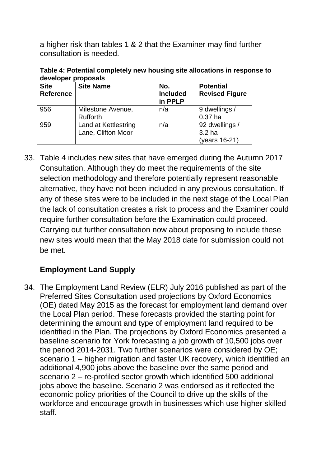a higher risk than tables 1 & 2 that the Examiner may find further consultation is needed.

**Table 4: Potential completely new housing site allocations in response to developer proposals**

| <b>Site</b><br><b>Reference</b> | <b>Site Name</b>                           | No.<br><b>Included</b><br>in PPLP | <b>Potential</b><br><b>Revised Figure</b> |  |  |  |
|---------------------------------|--------------------------------------------|-----------------------------------|-------------------------------------------|--|--|--|
| 956                             | Milestone Avenue,<br><b>Rufforth</b>       | n/a                               | 9 dwellings /<br>$0.37$ ha                |  |  |  |
| 959                             | Land at Kettlestring<br>Lane, Clifton Moor | n/a                               | 92 dwellings /<br>3.2 ha<br>(years 16-21) |  |  |  |

33. Table 4 includes new sites that have emerged during the Autumn 2017 Consultation. Although they do meet the requirements of the site selection methodology and therefore potentially represent reasonable alternative, they have not been included in any previous consultation. If any of these sites were to be included in the next stage of the Local Plan the lack of consultation creates a risk to process and the Examiner could require further consultation before the Examination could proceed. Carrying out further consultation now about proposing to include these new sites would mean that the May 2018 date for submission could not be met.

# **Employment Land Supply**

34. The Employment Land Review (ELR) July 2016 published as part of the Preferred Sites Consultation used projections by Oxford Economics (OE) dated May 2015 as the forecast for employment land demand over the Local Plan period. These forecasts provided the starting point for determining the amount and type of employment land required to be identified in the Plan. The projections by Oxford Economics presented a baseline scenario for York forecasting a job growth of 10,500 jobs over the period 2014-2031. Two further scenarios were considered by OE; scenario 1 – higher migration and faster UK recovery, which identified an additional 4,900 jobs above the baseline over the same period and scenario 2 – re-profiled sector growth which identified 500 additional jobs above the baseline. Scenario 2 was endorsed as it reflected the economic policy priorities of the Council to drive up the skills of the workforce and encourage growth in businesses which use higher skilled staff.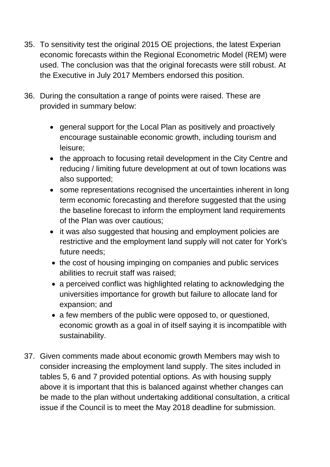- 35. To sensitivity test the original 2015 OE projections, the latest Experian economic forecasts within the Regional Econometric Model (REM) were used. The conclusion was that the original forecasts were still robust. At the Executive in July 2017 Members endorsed this position.
- 36. During the consultation a range of points were raised. These are provided in summary below:
	- general support for the Local Plan as positively and proactively encourage sustainable economic growth, including tourism and leisure;
	- the approach to focusing retail development in the City Centre and reducing / limiting future development at out of town locations was also supported;
	- some representations recognised the uncertainties inherent in long term economic forecasting and therefore suggested that the using the baseline forecast to inform the employment land requirements of the Plan was over cautious;
	- it was also suggested that housing and employment policies are restrictive and the employment land supply will not cater for York's future needs;
	- the cost of housing impinging on companies and public services abilities to recruit staff was raised;
	- a perceived conflict was highlighted relating to acknowledging the universities importance for growth but failure to allocate land for expansion; and
	- a few members of the public were opposed to, or questioned, economic growth as a goal in of itself saying it is incompatible with sustainability.
- 37. Given comments made about economic growth Members may wish to consider increasing the employment land supply. The sites included in tables 5, 6 and 7 provided potential options. As with housing supply above it is important that this is balanced against whether changes can be made to the plan without undertaking additional consultation, a critical issue if the Council is to meet the May 2018 deadline for submission.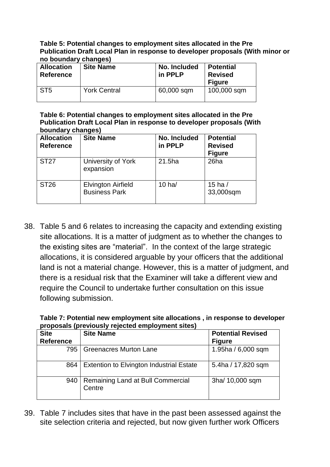#### **Table 5: Potential changes to employment sites allocated in the Pre Publication Draft Local Plan in response to developer proposals (With minor or no boundary changes)**

| .<br><u></u>                          |                     |                         |                                                     |  |  |  |
|---------------------------------------|---------------------|-------------------------|-----------------------------------------------------|--|--|--|
| <b>Allocation</b><br><b>Reference</b> | <b>Site Name</b>    | No. Included<br>in PPLP | <b>Potential</b><br><b>Revised</b><br><b>Figure</b> |  |  |  |
| ST <sub>5</sub>                       | <b>York Central</b> | 60,000 sqm              | 100,000 sqm                                         |  |  |  |

**Table 6: Potential changes to employment sites allocated in the Pre Publication Draft Local Plan in response to developer proposals (With boundary changes)**

| <b>Allocation</b><br><b>Reference</b> | <b>Site Name</b>                                  | No. Included<br>in PPLP | <b>Potential</b><br><b>Revised</b><br><b>Figure</b> |
|---------------------------------------|---------------------------------------------------|-------------------------|-----------------------------------------------------|
| <b>ST27</b>                           | University of York<br>expansion                   | 21.5ha                  | 26ha                                                |
| <b>ST26</b>                           | <b>Elvington Airfield</b><br><b>Business Park</b> | $10$ ha/                | 15 ha $/$<br>33,000sqm                              |

38. Table 5 and 6 relates to increasing the capacity and extending existing site allocations. It is a matter of judgment as to whether the changes to the existing sites are "material". In the context of the large strategic allocations, it is considered arguable by your officers that the additional land is not a material change. However, this is a matter of judgment, and there is a residual risk that the Examiner will take a different view and require the Council to undertake further consultation on this issue following submission.

| Table 7: Potential new employment site allocations, in response to developer |  |
|------------------------------------------------------------------------------|--|
| proposals (previously rejected employment sites)                             |  |

| <b>Site</b><br>Reference | <b>Site Name</b>                                | <b>Potential Revised</b><br><b>Figure</b> |
|--------------------------|-------------------------------------------------|-------------------------------------------|
| 795                      | <b>Greenacres Murton Lane</b>                   | 1.95ha / 6,000 sqm                        |
| 864                      | <b>Extention to Elvington Industrial Estate</b> | 5.4ha / 17,820 sqm                        |
| 940                      | Remaining Land at Bull Commercial<br>Centre     | 3ha/ 10,000 sqm                           |

39. Table 7 includes sites that have in the past been assessed against the site selection criteria and rejected, but now given further work Officers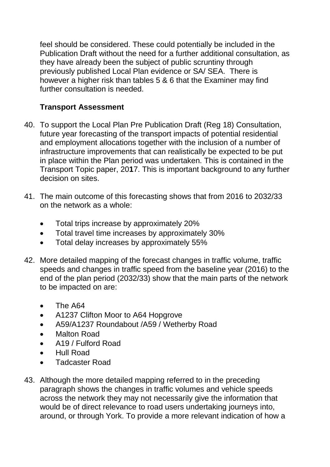feel should be considered. These could potentially be included in the Publication Draft without the need for a further additional consultation, as they have already been the subject of public scruntiny through previously published Local Plan evidence or SA/ SEA. There is however a higher risk than tables 5 & 6 that the Examiner may find further consultation is needed.

# **Transport Assessment**

- 40. To support the Local Plan Pre Publication Draft (Reg 18) Consultation, future year forecasting of the transport impacts of potential residential and employment allocations together with the inclusion of a number of infrastructure improvements that can realistically be expected to be put in place within the Plan period was undertaken. This is contained in the Transport Topic paper, 20**1**7. This is important background to any further decision on sites.
- 41. The main outcome of this forecasting shows that from 2016 to 2032/33 on the network as a whole:
	- Total trips increase by approximately 20%
	- Total travel time increases by approximately 30%
	- Total delay increases by approximately 55%
- 42. More detailed mapping of the forecast changes in traffic volume, traffic speeds and changes in traffic speed from the baseline year (2016) to the end of the plan period (2032/33) show that the main parts of the network to be impacted on are:
	- The A64
	- A1237 Clifton Moor to A64 Hopgrove
	- A59/A1237 Roundabout /A59 / Wetherby Road
	- Malton Road
	- A19 / Fulford Road
	- Hull Road
	- Tadcaster Road
- 43. Although the more detailed mapping referred to in the preceding paragraph shows the changes in traffic volumes and vehicle speeds across the network they may not necessarily give the information that would be of direct relevance to road users undertaking journeys into, around, or through York. To provide a more relevant indication of how a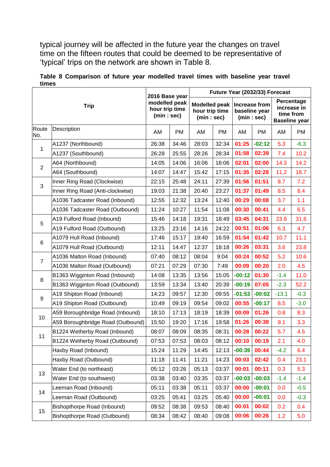typical journey will be affected in the future year the changes on travel time on the fifteen routes that could be deemed to be representative of 'typical' trips on the network are shown in Table 8.

| <b>Trip</b>    |                                   | 2016 Base year<br>modelled peak<br>hour trip time<br>(min:sec) |       | Future Year (2032/33) Forecast                      |       |                                             |          |                                                                |           |
|----------------|-----------------------------------|----------------------------------------------------------------|-------|-----------------------------------------------------|-------|---------------------------------------------|----------|----------------------------------------------------------------|-----------|
|                |                                   |                                                                |       | <b>Modelled peak</b><br>hour trip time<br>(min:sec) |       | Increase from<br>baseline year<br>(min:sec) |          | Percentage<br>increase in<br>time from<br><b>Baseline year</b> |           |
| Route<br>No.   | Description                       | AM                                                             | PM    | AM                                                  | PM    | AM                                          | PM       | AM                                                             | <b>PM</b> |
| 1              | A1237 (Northbound)                | 26:38                                                          | 34:46 | 28:03                                               | 32:34 | 01:25                                       | $-02:12$ | 5.3                                                            | $-6.3$    |
|                | A1237 (Southbound)                | 26:28                                                          | 25:55 | 28:26                                               | 28:34 | 01:58                                       | 02:39    | 7.4                                                            | 10.2      |
| $\overline{2}$ | A64 (Northbound)                  | 14:05                                                          | 14:06 | 16:06                                               | 16:06 | 02:01                                       | 02:00    | 14.3                                                           | 14.2      |
|                | A64 (Southbound)                  | 14:07                                                          | 14:47 | 15:42                                               | 17:15 | 01:35                                       | 02:28    | 11.2                                                           | 16.7      |
| 3              | Inner Ring Road (Clockwise)       | 22:15                                                          | 25:48 | 24:11                                               | 27:39 | 01:56                                       | 01:51    | 8.7                                                            | 7.2       |
|                | Inner Ring Road (Anti-clockwise)  | 19:03                                                          | 21:38 | 20:40                                               | 23:27 | 01:37                                       | 01:49    | 8.5                                                            | 8.4       |
|                | A1036 Tadcaster Road (Inbound)    | 12:55                                                          | 12:32 | 13:24                                               | 12:40 | 00:29                                       | 00:08    | 3.7                                                            | 1.1       |
|                | A1036 Tadcaster Road (Outbound)   | 11:24                                                          | 10:27 | 11:54                                               | 11:08 | 00:30                                       | 00:41    | 4.4                                                            | 6.5       |
| 5              | A19 Fulford Road (Inbound)        | 15:46                                                          | 14:18 | 19:31                                               | 18:49 | 03:45                                       | 04:31    | 23.8                                                           | 31.6      |
|                | A19 Fulford Road (Outbound)       | 13:25                                                          | 23:16 | 14:16                                               | 24:22 | 00:51                                       | 01:06    | 6.3                                                            | 4.7       |
|                | A1079 Hull Road (Inbound)         | 17:46                                                          | 15:17 | 19:40                                               | 16:59 | 01:54                                       | 01:42    | 10.7                                                           | 11.1      |
| 6              | A1079 Hull Road (Outbound)        | 12:11                                                          | 14:47 | 12:37                                               | 18:18 | 00:26                                       | 03:31    | 3.6                                                            | 23.8      |
|                | A1036 Malton Road (Inbound)       | 07:40                                                          | 08:12 | 08:04                                               | 9:04  | 00:24                                       | 00:52    | 5.2                                                            | 10.6      |
| $\overline{7}$ | A1036 Malton Road (Outbound)      | 07:21                                                          | 07:29 | 07:30                                               | 7:49  | 00:09                                       | 00:20    | 2.0                                                            | 4.5       |
|                | B1363 Wigginton Road (Inbound)    | 14:08                                                          | 13:35 | 13:56                                               | 15:05 | $-00:12$                                    | 01:30    | $-1.4$                                                         | 11.0      |
| 8              | B1363 Wigginton Road (Outbound)   | 13:59                                                          | 13:34 | 13:40                                               | 20:39 | $-00:19$                                    | 07:05    | $-2.3$                                                         | 52.2      |
|                | A19 Shipton Road (Inbound)        | 14:23                                                          | 09:57 | 12:30                                               | 09:55 | $-01:53$                                    | $-00:02$ | $-13.1$                                                        | $-0.3$    |
| 9              | A19 Shipton Road (Outbound)       | 10:49                                                          | 09:19 | 09:54                                               | 09:02 | 00:55                                       | $-00:17$ | 8.5                                                            | $-3.0$    |
|                | A59 Boroughbridge Road (Inbound)  | 18:10                                                          | 17:13 | 18:19                                               | 18:39 | 00:09                                       | 01:26    | 0.8                                                            | 8.3       |
| 10             | A59 Boroughbridge Road (Outbound) | 15:50                                                          | 19:20 | 17:16                                               | 19:58 | 01:26                                       | 00:38    | 9.1                                                            | 3.3       |
|                | B1224 Wetherby Road (Inbound)     | 08:07                                                          | 08:09 | 08:35                                               | 08:31 | 00:28                                       | 00:22    | 5.7                                                            | 4.5       |
| 11             | B1224 Wetherby Road (Outbound)    | 07:53                                                          | 07:53 | 08:03                                               | 08:12 | 00:10                                       | 00:19    | 2.1                                                            | 4.0       |
|                | Haxby Road (Inbound)              | 15:24                                                          | 11:29 | 14:45                                               | 12:13 | $-00:39$                                    | 00:44    | $-4.2$                                                         | 6.4       |
|                | Haxby Road (Outbound)             | 11:18                                                          | 11:41 | 11:21                                               | 14:23 | 00:03                                       | 02:42    | 0.4                                                            | 23.1      |
|                | Water End (to northeast)          | 05:12                                                          | 03:26 | 05:13                                               | 03:37 | 00:01                                       | 00:11    | 0.3                                                            | 5.3       |
| 13             | Water End (to southwest)          | 03:38                                                          | 03:40 | 03:35                                               | 03:37 | $-00:03$                                    | $-00:03$ | $-1.4$                                                         | $-1.4$    |
|                | Leeman Road (Inbound)             | 05:11                                                          | 03:38 | 05:11                                               | 03:37 | 00:00                                       | $-00:01$ | 0.0                                                            | $-0.5$    |
| 14             | Leeman Road (Outbound)            | 03:25                                                          | 05:41 | 03:25                                               | 05:40 | 00:00                                       | $-00:01$ | 0.0                                                            | $-0.3$    |
|                | Bishopthorpe Road (Inbound)       | 09:52                                                          | 08:38 | 09:53                                               | 08:40 | 00:01                                       | 00:02    | 0.2                                                            | 0.4       |
| 15             | Bishopthorpe Road (Outbound)      | 08:34                                                          | 08:42 | 08:40                                               | 09:08 | 00:06                                       | 00:26    | 1.2                                                            | 5.0       |

**Table 8 Comparison of future year modelled travel times with baseline year travel times**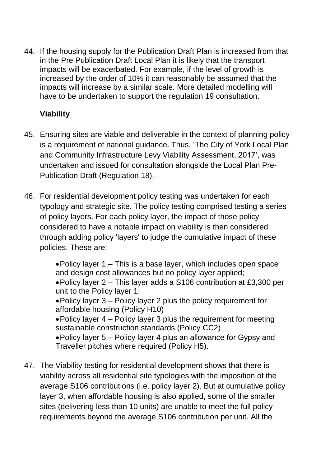44. If the housing supply for the Publication Draft Plan is increased from that in the Pre Publication Draft Local Plan it is likely that the transport impacts will be exacerbated. For example, if the level of growth is increased by the order of 10% it can reasonably be assumed that the impacts will increase by a similar scale. More detailed modelling will have to be undertaken to support the regulation 19 consultation.

# **Viability**

- 45. Ensuring sites are viable and deliverable in the context of planning policy is a requirement of national guidance. Thus, 'The City of York Local Plan and Community Infrastructure Levy Viability Assessment, 2017', was undertaken and issued for consultation alongside the Local Plan Pre-Publication Draft (Regulation 18).
- 46. For residential development policy testing was undertaken for each typology and strategic site. The policy testing comprised testing a series of policy layers. For each policy layer, the impact of those policy considered to have a notable impact on viability is then considered through adding policy 'layers' to judge the cumulative impact of these policies. These are:

Policy layer 1 – This is a base layer, which includes open space and design cost allowances but no policy layer applied;

Policy layer 2 – This layer adds a S106 contribution at £3,300 per unit to the Policy layer 1;

Policy layer 3 – Policy layer 2 plus the policy requirement for affordable housing (Policy H10)

Policy layer 4 – Policy layer 3 plus the requirement for meeting sustainable construction standards (Policy CC2)

Policy layer 5 – Policy layer 4 plus an allowance for Gypsy and Traveller pitches where required (Policy H5).

47. The Viability testing for residential development shows that there is viability across all residential site typologies with the imposition of the average S106 contributions (i.e. policy layer 2). But at cumulative policy layer 3, when affordable housing is also applied, some of the smaller sites (delivering less than 10 units) are unable to meet the full policy requirements beyond the average S106 contribution per unit. All the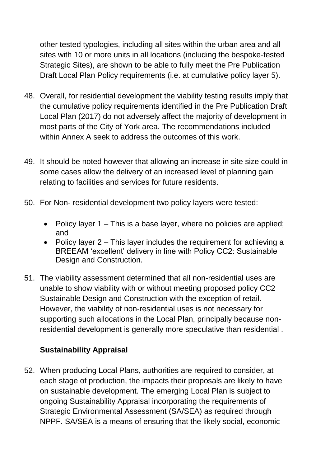other tested typologies, including all sites within the urban area and all sites with 10 or more units in all locations (including the bespoke-tested Strategic Sites), are shown to be able to fully meet the Pre Publication Draft Local Plan Policy requirements (i.e. at cumulative policy layer 5).

- 48. Overall, for residential development the viability testing results imply that the cumulative policy requirements identified in the Pre Publication Draft Local Plan (2017) do not adversely affect the majority of development in most parts of the City of York area. The recommendations included within Annex A seek to address the outcomes of this work.
- 49. It should be noted however that allowing an increase in site size could in some cases allow the delivery of an increased level of planning gain relating to facilities and services for future residents.
- 50. For Non- residential development two policy layers were tested:
	- Policy layer 1 This is a base layer, where no policies are applied; and
	- Policy layer 2 This layer includes the requirement for achieving a BREEAM 'excellent' delivery in line with Policy CC2: Sustainable Design and Construction.
- 51. The viability assessment determined that all non-residential uses are unable to show viability with or without meeting proposed policy CC2 Sustainable Design and Construction with the exception of retail. However, the viability of non-residential uses is not necessary for supporting such allocations in the Local Plan, principally because nonresidential development is generally more speculative than residential .

# **Sustainability Appraisal**

52. When producing Local Plans, authorities are required to consider, at each stage of production, the impacts their proposals are likely to have on sustainable development. The emerging Local Plan is subject to ongoing Sustainability Appraisal incorporating the requirements of Strategic Environmental Assessment (SA/SEA) as required through NPPF. SA/SEA is a means of ensuring that the likely social, economic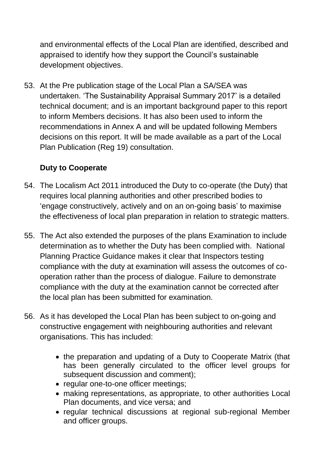and environmental effects of the Local Plan are identified, described and appraised to identify how they support the Council's sustainable development objectives.

53. At the Pre publication stage of the Local Plan a SA/SEA was undertaken. 'The Sustainability Appraisal Summary 2017' is a detailed technical document; and is an important background paper to this report to inform Members decisions. It has also been used to inform the recommendations in Annex A and will be updated following Members decisions on this report. It will be made available as a part of the Local Plan Publication (Reg 19) consultation.

### **Duty to Cooperate**

- 54. The Localism Act 2011 introduced the Duty to co-operate (the Duty) that requires local planning authorities and other prescribed bodies to 'engage constructively, actively and on an on-going basis' to maximise the effectiveness of local plan preparation in relation to strategic matters.
- 55. The Act also extended the purposes of the plans Examination to include determination as to whether the Duty has been complied with. National Planning Practice Guidance makes it clear that Inspectors testing compliance with the duty at examination will assess the outcomes of cooperation rather than the process of dialogue. Failure to demonstrate compliance with the duty at the examination cannot be corrected after the local plan has been submitted for examination.
- 56. As it has developed the Local Plan has been subject to on-going and constructive engagement with neighbouring authorities and relevant organisations. This has included:
	- the preparation and updating of a Duty to Cooperate Matrix (that has been generally circulated to the officer level groups for subsequent discussion and comment);
	- regular one-to-one officer meetings;
	- making representations, as appropriate, to other authorities Local Plan documents, and vice versa; and
	- regular technical discussions at regional sub-regional Member and officer groups.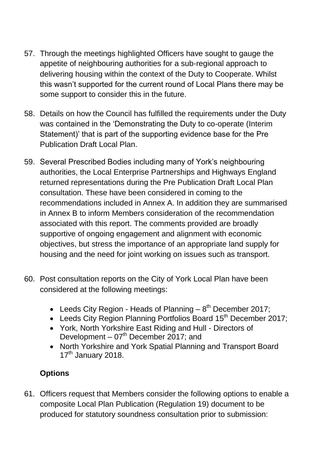- 57. Through the meetings highlighted Officers have sought to gauge the appetite of neighbouring authorities for a sub-regional approach to delivering housing within the context of the Duty to Cooperate. Whilst this wasn't supported for the current round of Local Plans there may be some support to consider this in the future.
- 58. Details on how the Council has fulfilled the requirements under the Duty was contained in the 'Demonstrating the Duty to co-operate (Interim Statement)' that is part of the supporting evidence base for the Pre Publication Draft Local Plan.
- 59. Several Prescribed Bodies including many of York's neighbouring authorities, the Local Enterprise Partnerships and Highways England returned representations during the Pre Publication Draft Local Plan consultation. These have been considered in coming to the recommendations included in Annex A. In addition they are summarised in Annex B to inform Members consideration of the recommendation associated with this report. The comments provided are broadly supportive of ongoing engagement and alignment with economic objectives, but stress the importance of an appropriate land supply for housing and the need for joint working on issues such as transport.
- 60. Post consultation reports on the City of York Local Plan have been considered at the following meetings:
	- Leeds City Region Heads of Planning  $-8<sup>th</sup>$  December 2017;
	- Leeds City Region Planning Portfolios Board 15<sup>th</sup> December 2017;
	- York, North Yorkshire East Riding and Hull Directors of Development –  $07<sup>th</sup>$  December 2017; and
	- North Yorkshire and York Spatial Planning and Transport Board  $17<sup>th</sup>$  January 2018.

# **Options**

61. Officers request that Members consider the following options to enable a composite Local Plan Publication (Regulation 19) document to be produced for statutory soundness consultation prior to submission: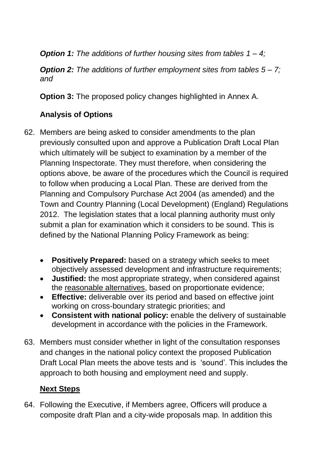*Option 1: The additions of further housing sites from tables 1 – 4;*

*Option 2: The additions of further employment sites from tables 5 – 7; and*

**Option 3:** The proposed policy changes highlighted in Annex A.

# **Analysis of Options**

- 62. Members are being asked to consider amendments to the plan previously consulted upon and approve a Publication Draft Local Plan which ultimately will be subject to examination by a member of the Planning Inspectorate. They must therefore, when considering the options above, be aware of the procedures which the Council is required to follow when producing a Local Plan. These are derived from the Planning and Compulsory Purchase Act 2004 (as amended) and the Town and Country Planning (Local Development) (England) Regulations 2012. The legislation states that a local planning authority must only submit a plan for examination which it considers to be sound. This is defined by the National Planning Policy Framework as being:
	- **Positively Prepared:** based on a strategy which seeks to meet objectively assessed development and infrastructure requirements;
	- **Justified:** the most appropriate strategy, when considered against the reasonable alternatives, based on proportionate evidence;
	- **Effective:** deliverable over its period and based on effective joint working on cross-boundary strategic priorities; and
	- **Consistent with national policy:** enable the delivery of sustainable development in accordance with the policies in the Framework.
- 63. Members must consider whether in light of the consultation responses and changes in the national policy context the proposed Publication Draft Local Plan meets the above tests and is 'sound'. This includes the approach to both housing and employment need and supply.

# **Next Steps**

64. Following the Executive, if Members agree, Officers will produce a composite draft Plan and a city-wide proposals map. In addition this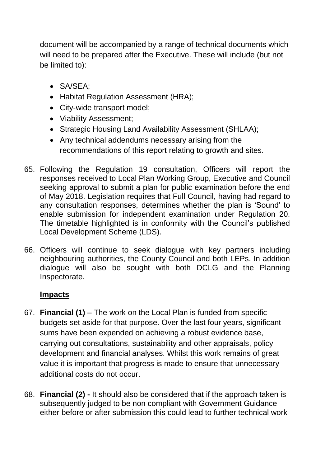document will be accompanied by a range of technical documents which will need to be prepared after the Executive. These will include (but not be limited to):

- SA/SEA;
- Habitat Regulation Assessment (HRA);
- City-wide transport model;
- Viability Assessment:
- Strategic Housing Land Availability Assessment (SHLAA);
- Any technical addendums necessary arising from the recommendations of this report relating to growth and sites.
- 65. Following the Regulation 19 consultation, Officers will report the responses received to Local Plan Working Group, Executive and Council seeking approval to submit a plan for public examination before the end of May 2018. Legislation requires that Full Council, having had regard to any consultation responses, determines whether the plan is 'Sound' to enable submission for independent examination under Regulation 20. The timetable highlighted is in conformity with the Council's published Local Development Scheme (LDS).
- 66. Officers will continue to seek dialogue with key partners including neighbouring authorities, the County Council and both LEPs. In addition dialogue will also be sought with both DCLG and the Planning Inspectorate.

# **Impacts**

- 67. **Financial (1)**  The work on the Local Plan is funded from specific budgets set aside for that purpose. Over the last four years, significant sums have been expended on achieving a robust evidence base, carrying out consultations, sustainability and other appraisals, policy development and financial analyses. Whilst this work remains of great value it is important that progress is made to ensure that unnecessary additional costs do not occur.
- 68. **Financial (2) -** It should also be considered that if the approach taken is subsequently judged to be non compliant with Government Guidance either before or after submission this could lead to further technical work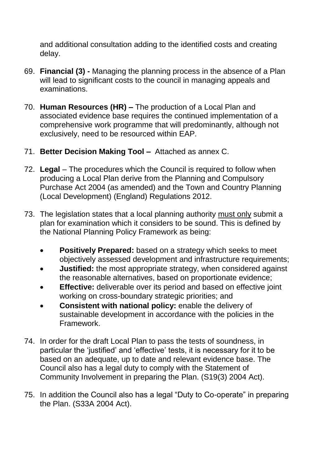and additional consultation adding to the identified costs and creating delay.

- 69. **Financial (3) -** Managing the planning process in the absence of a Plan will lead to significant costs to the council in managing appeals and examinations.
- 70. **Human Resources (HR) –** The production of a Local Plan and associated evidence base requires the continued implementation of a comprehensive work programme that will predominantly, although not exclusively, need to be resourced within EAP.
- 71. **Better Decision Making Tool** Attached as annex C.
- 72. **Legal** *–* The procedures which the Council is required to follow when producing a Local Plan derive from the Planning and Compulsory Purchase Act 2004 (as amended) and the Town and Country Planning (Local Development) (England) Regulations 2012.
- 73. The legislation states that a local planning authority must only submit a plan for examination which it considers to be sound. This is defined by the National Planning Policy Framework as being:
	- **Positively Prepared:** based on a strategy which seeks to meet objectively assessed development and infrastructure requirements;
	- **Justified:** the most appropriate strategy, when considered against the reasonable alternatives, based on proportionate evidence;
	- **Effective:** deliverable over its period and based on effective joint working on cross-boundary strategic priorities; and
	- **Consistent with national policy:** enable the delivery of sustainable development in accordance with the policies in the Framework.
- 74. In order for the draft Local Plan to pass the tests of soundness, in particular the 'justified' and 'effective' tests, it is necessary for it to be based on an adequate, up to date and relevant evidence base. The Council also has a legal duty to comply with the Statement of Community Involvement in preparing the Plan. (S19(3) 2004 Act).
- 75. In addition the Council also has a legal "Duty to Co-operate" in preparing the Plan. (S33A 2004 Act).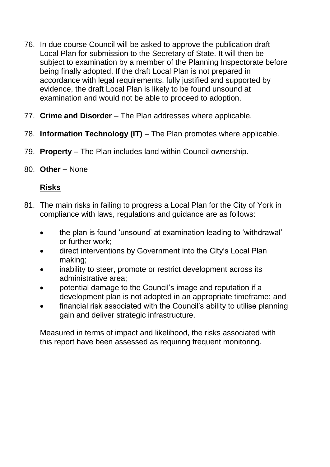- 76. In due course Council will be asked to approve the publication draft Local Plan for submission to the Secretary of State. It will then be subject to examination by a member of the Planning Inspectorate before being finally adopted. If the draft Local Plan is not prepared in accordance with legal requirements, fully justified and supported by evidence, the draft Local Plan is likely to be found unsound at examination and would not be able to proceed to adoption.
- 77. **Crime and Disorder**  The Plan addresses where applicable.
- 78. **Information Technology (IT)**  The Plan promotes where applicable.
- 79. **Property**  The Plan includes land within Council ownership.
- 80. **Other –** None

# **Risks**

- 81. The main risks in failing to progress a Local Plan for the City of York in compliance with laws, regulations and guidance are as follows:
	- the plan is found 'unsound' at examination leading to 'withdrawal' or further work;
	- direct interventions by Government into the City's Local Plan making;
	- inability to steer, promote or restrict development across its administrative area;
	- potential damage to the Council's image and reputation if a development plan is not adopted in an appropriate timeframe; and
	- financial risk associated with the Council's ability to utilise planning gain and deliver strategic infrastructure.

Measured in terms of impact and likelihood, the risks associated with this report have been assessed as requiring frequent monitoring.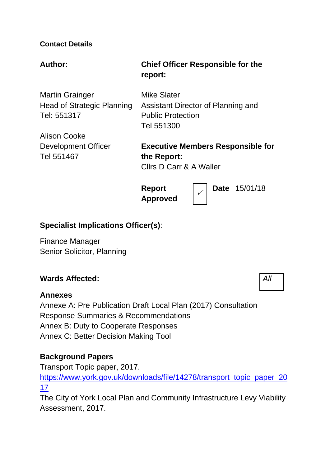#### **Contact Details**

#### **Author: Chief Officer Responsible for the**

Martin Grainger Head of Strategic Planning Tel: 551317

Alison Cooke Development Officer Tel 551467

**report:**

Mike Slater Assistant Director of Planning and Public Protection Tel 551300

**Executive Members Responsible for the Report:** Cllrs D Carr & A Waller

 $\checkmark$ 

**Report Approved** **Date** 15/01/18

#### **Specialist Implications Officer(s)**:

Finance Manager Senior Solicitor, Planning

#### **Wards Affected:** *All*

#### **Annexes**

Annexe A: Pre Publication Draft Local Plan (2017) Consultation Response Summaries & Recommendations Annex B: Duty to Cooperate Responses Annex C: Better Decision Making Tool

#### **Background Papers**

Transport Topic paper, 2017.

[https://www.york.gov.uk/downloads/file/14278/transport\\_topic\\_paper\\_20](https://www.york.gov.uk/downloads/file/14278/transport_topic_paper_2017) [17](https://www.york.gov.uk/downloads/file/14278/transport_topic_paper_2017)

The City of York Local Plan and Community Infrastructure Levy Viability Assessment, 2017.